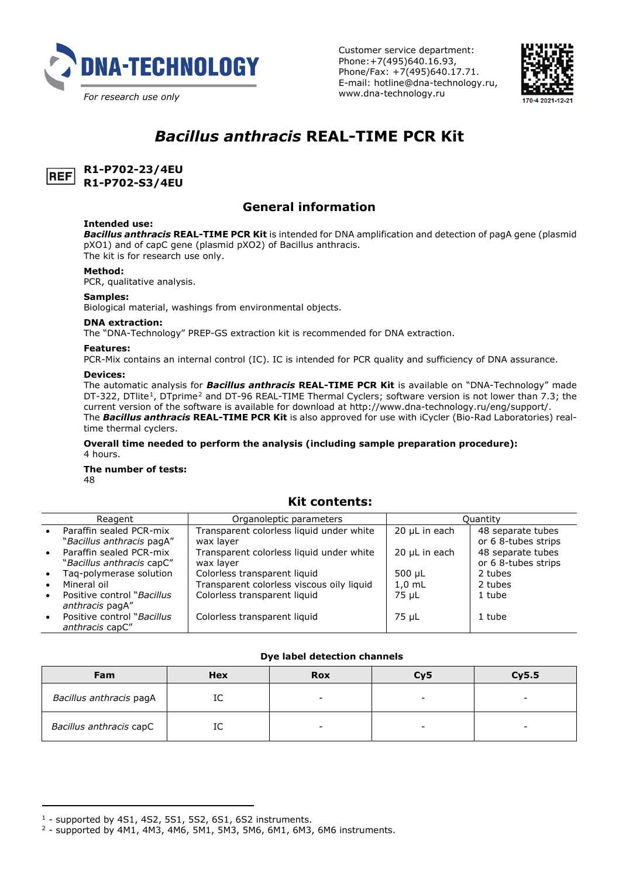

Customer service department: Phone:+7(495)640.16.93, Phone/Fax: +7(495)640.17.71. E-mail: hotline@dna-technology.ru, www.dna-technology.ru



# *Bacillus anthracis* **REAL-TIME PCR Kit**



**R1-P702-23/4EU R1-P702-S3/4EU**

# **General information**

### **Intended use:**

*Bacillus anthracis* **REAL-TIME PCR Kit** is intended for DNA amplification and detection of pagA gene (plasmid pXO1) and of capC gene (plasmid pXO2) of Bacillus anthracis. The kit is for research use only.

**Method:**

PCR, qualitative analysis.

#### **Samples:**

Biological material, washings from environmental objects.

### **DNA extraction:**

The "DNA-Technology" PREP-GS extraction kit is recommended for DNA extraction.

### **Features:**

PCR-Mix contains an internal control (IC). IC is intended for PCR quality and sufficiency of DNA assurance.

#### **Devices:**

The automatic analysis for *Bacillus anthracis* **REAL-TIME PCR Kit** is available on "DNA-Technology" made DT-322, DTlite<sup>[1](#page-0-0)</sup>, DTprime<sup>[2](#page-0-1)</sup> and DT-96 REAL-TIME Thermal Cyclers; software version is not lower than 7.3; the current version of the software is available for download at http://www.dna-technology.ru/eng/support/. The *Bacillus anthracis* **REAL-TIME PCR Kit** is also approved for use with iCycler (Bio-Rad Laboratories) realtime thermal cyclers.

**Overall time needed to perform the analysis (including sample preparation procedure):** 4 hours.

### **The number of tests:**

48

 $\overline{a}$ 

### **Kit contents:**

|           | Reagent                                        | Organoleptic parameters                   |               | Ouantity            |
|-----------|------------------------------------------------|-------------------------------------------|---------------|---------------------|
|           | Paraffin sealed PCR-mix                        | Transparent colorless liquid under white  | 20 uL in each | 48 separate tubes   |
|           | "Bacillus anthracis pagA"                      | wax laver                                 |               | or 6 8-tubes strips |
|           | Paraffin sealed PCR-mix                        | Transparent colorless liquid under white  | 20 µL in each | 48 separate tubes   |
|           | "Bacillus anthracis capC"                      | wax laver                                 |               | or 6 8-tubes strips |
|           | Tag-polymerase solution                        | Colorless transparent liquid              | 500 uL        | 2 tubes             |
|           | Mineral oil                                    | Transparent colorless viscous oily liquid | $1.0$ mL      | 2 tubes             |
| $\bullet$ | Positive control "Bacillus"<br>anthracis pagA" | Colorless transparent liquid              | 75 uL         | 1 tube              |
|           | Positive control "Bacillus"<br>anthracis capC" | Colorless transparent liquid              | 75 uL         | 1 tube              |

#### **Dye label detection channels**

| Fam                     | Hex                            | <b>Rox</b> | Cy5 | Cy5.5 |
|-------------------------|--------------------------------|------------|-----|-------|
| Bacillus anthracis pagA | $\overline{\phantom{a}}$<br>TC | -          |     | -     |
| Bacillus anthracis capC | $\sim$<br>TC                   |            | -   | -     |

<span id="page-0-0"></span><sup>1</sup> - supported by 4S1, 4S2, 5S1, 5S2, 6S1, 6S2 instruments.

<span id="page-0-1"></span> $2 -$  supported by 4M1, 4M3, 4M6, 5M1, 5M3, 5M6, 6M1, 6M3, 6M6 instruments.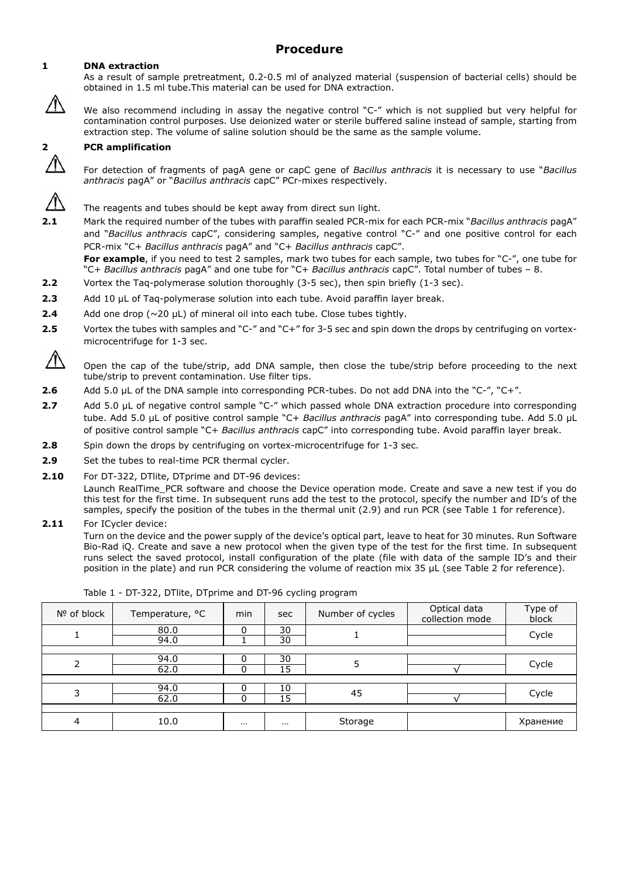# **Procedure**

### **1 DNA extraction**

/l\

As a result of sample pretreatment, 0.2-0.5 ml of analyzed material (suspension of bacterial cells) should be obtained in 1.5 ml tube.This material can be used for DNA extraction.

We also recommend including in assay the negative control "C-" which is not supplied but verv helpful for contamination control purposes. Use deionized water or sterile buffered saline instead of sample, starting from extraction step. The volume of saline solution should be the same as the sample volume.

### **2 PCR amplification**

For detection of fragments of pagA gene or capC gene of *Bacillus anthracis* it is necessary to use "*Bacillus anthracis* pagA" or "*Bacillus anthracis* capC" PCr-mixes respectively.

The reagents and tubes should be kept away from direct sun light.

**2.1** Mark the required number of the tubes with paraffin sealed PCR-mix for each PCR-mix "*Bacillus anthracis* pagA" and "*Bacillus anthracis* capC", considering samples, negative control "C-" and one positive control for each PCR-mix "C+ *Bacillus anthracis* pagA" and "C+ *Bacillus anthracis* capC".

**For example**, if you need to test 2 samples, mark two tubes for each sample, two tubes for "C-", one tube for "C+ *Bacillus anthracis* pagA" and one tube for "C+ *Bacillus anthracis* capC". Total number of tubes – 8.

- **2.2** Vortex the Taq-polymerase solution thoroughly (3-5 sec), then spin briefly (1-3 sec).
- **2.3** Add 10 μL of Taq-polymerase solution into each tube. Avoid paraffin layer break.
- **2.4** Add one drop (~20 μL) of mineral oil into each tube. Close tubes tightly.
- **2.5** Vortex the tubes with samples and "C-" and "C+" for 3-5 sec and spin down the drops by centrifuging on vortexmicrocentrifuge for 1-3 sec.

- **2.6** Add 5.0 µL of the DNA sample into corresponding PCR-tubes. Do not add DNA into the "C-", "C+".
- **2.7** Add 5.0 μL of negative control sample "C-" which passed whole DNA extraction procedure into corresponding tube. Add 5.0 μL of positive control sample "C+ *Bacillus anthracis* pagA" into corresponding tube. Add 5.0 μL of positive control sample "C+ *Bacillus anthracis* capC" into corresponding tube. Avoid paraffin layer break.
- **2.8** Spin down the drops by centrifuging on vortex-microcentrifuge for 1-3 sec.
- **2.9** Set the tubes to real-time PCR thermal cycler.
- **2.10** For DT-322, DTlite, DTprime and DT-96 devices:

Launch RealTime\_PCR software and choose the Device operation mode. Create and save a new test if you do this test for the first time. In subsequent runs add the test to the protocol, specify the number and ID's of the samples, specify the position of the tubes in the thermal unit (2.9) and run PCR (see Table 1 for reference).

**2.11** For ICycler device:

Turn on the device and the power supply of the device's optical part, leave to heat for 30 minutes. Run Software Bio-Rad iQ. Create and save a new protocol when the given type of the test for the first time. In subsequent runs select the saved protocol, install configuration of the plate (file with data of the sample ID's and their position in the plate) and run PCR considering the volume of reaction mix 35 μL (see Table 2 for reference).

| Nº of block | Temperature, °C | min      | sec      | Number of cycles | Optical data<br>collection mode | Type of<br>block |  |
|-------------|-----------------|----------|----------|------------------|---------------------------------|------------------|--|
|             | 80.0<br>94.0    | $\Omega$ | 30<br>30 |                  |                                 | Cycle            |  |
|             |                 |          |          |                  |                                 |                  |  |
| ∍           | 94.0            |          | 30       |                  |                                 |                  |  |
|             | 62.0            |          | 15       |                  |                                 | Cycle            |  |
|             |                 |          |          |                  |                                 |                  |  |
|             | 94.0            |          | 10       | 45               |                                 |                  |  |
|             | 62.0            |          | 15       |                  |                                 | Cycle            |  |
|             |                 |          |          |                  |                                 |                  |  |
|             | 10.0            | $\cdots$ | $\cdots$ | Storage          |                                 | Хранение         |  |

|  | Table 1 - DT-322, DTlite, DTprime and DT-96 cycling program |  |  |  |  |  |
|--|-------------------------------------------------------------|--|--|--|--|--|
|--|-------------------------------------------------------------|--|--|--|--|--|

 $\sqrt{N}$ Open the cap of the tube/strip, add DNA sample, then close the tube/strip before proceeding to the next tube/strip to prevent contamination. Use filter tips.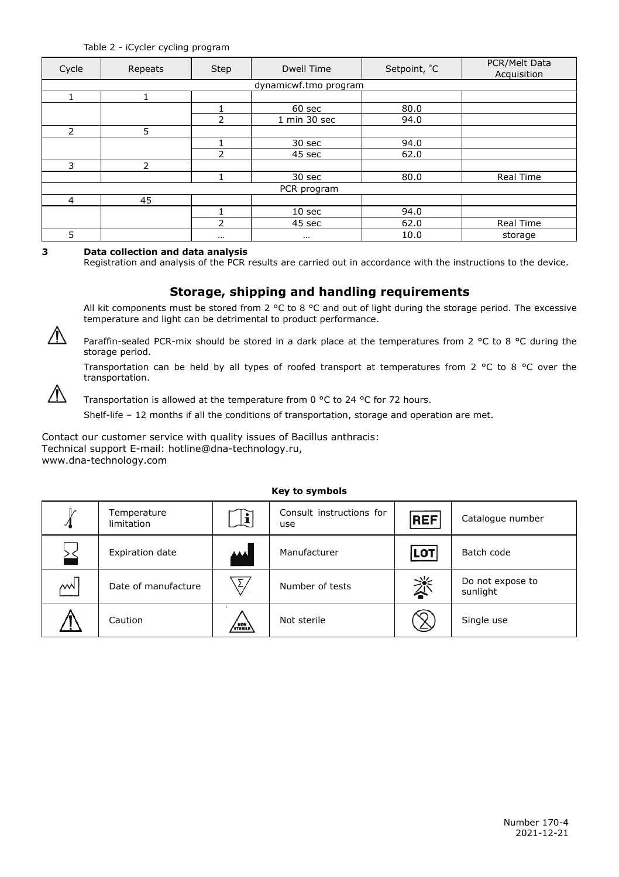| Cycle          | Repeats               | Step           | <b>Dwell Time</b> | Setpoint, °C | PCR/Melt Data<br>Acquisition |  |  |  |  |
|----------------|-----------------------|----------------|-------------------|--------------|------------------------------|--|--|--|--|
|                | dynamicwf.tmo program |                |                   |              |                              |  |  |  |  |
|                |                       |                |                   |              |                              |  |  |  |  |
|                |                       |                | 60 sec            | 80.0         |                              |  |  |  |  |
|                |                       | $\overline{2}$ | 1 min 30 sec      | 94.0         |                              |  |  |  |  |
| $\overline{2}$ | 5                     |                |                   |              |                              |  |  |  |  |
|                |                       |                | 30 sec            | 94.0         |                              |  |  |  |  |
|                |                       | $\overline{2}$ | 45 sec            | 62.0         |                              |  |  |  |  |
| 3              | $\overline{2}$        |                |                   |              |                              |  |  |  |  |
|                |                       |                | 30 sec            | 80.0         | <b>Real Time</b>             |  |  |  |  |
| PCR program    |                       |                |                   |              |                              |  |  |  |  |
| $\overline{4}$ | 45                    |                |                   |              |                              |  |  |  |  |
|                |                       |                | 10 <sub>sec</sub> | 94.0         |                              |  |  |  |  |
|                |                       | 2              | 45 sec            | 62.0         | Real Time                    |  |  |  |  |
| 5              |                       | $\cdots$       | $\cdots$          | 10.0         | storage                      |  |  |  |  |

### **3 Data collection and data analysis**

Registration and analysis of the PCR results are carried out in accordance with the instructions to the device.

## **Storage, shipping and handling requirements**

All kit components must be stored from 2  $^{\circ}$ C to 8  $^{\circ}$ C and out of light during the storage period. The excessive temperature and light can be detrimental to product performance.



Paraffin-sealed PCR-mix should be stored in a dark place at the temperatures from 2 °С to 8 °С during the storage period.

Transportation can be held by all types of roofed transport at temperatures from 2 °С to 8 °С over the transportation.



Transportation is allowed at the temperature from 0 °C to 24 °C for 72 hours.

Shelf-life – 12 months if all the conditions of transportation, storage and operation are met.

Contact our customer service with quality issues of Bacillus anthracis: Technical support E-mail: [hotline@dna-technology.ru,](mailto:hotline@dna-technology.ru) [www.dna-technology.com](http://www.dna-technology.com/)

### **Key to symbols**

| v             | Temperature<br>limitation | $\mathbf{E}$            | Consult instructions for<br>use | <b>REF</b> | Catalogue number             |
|---------------|---------------------------|-------------------------|---------------------------------|------------|------------------------------|
|               | Expiration date           | الممم                   | Manufacturer                    | <b>LOT</b> | Batch code                   |
| $M^{\dagger}$ | Date of manufacture       | $\overline{\mathbb{Y}}$ | Number of tests                 | 淡          | Do not expose to<br>sunlight |
|               | Caution                   | STERILE                 | Not sterile                     |            | Single use                   |